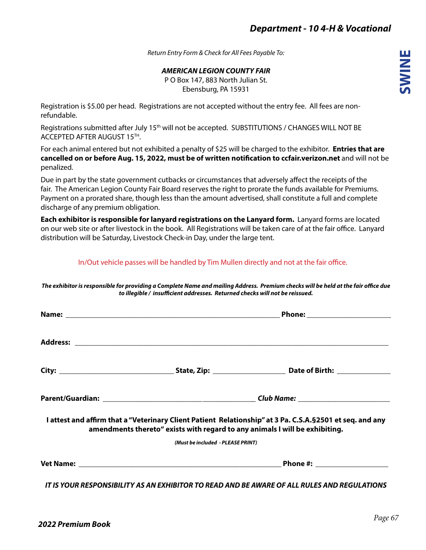*Return Entry Form & Check for All Fees Payable To:*

*AMERICAN LEGION COUNTY FAIR*

P O Box 147, 883 North Julian St. Ebensburg, PA 15931

Registration is \$5.00 per head. Registrations are not accepted without the entry fee. All fees are nonrefundable.

Registrations submitted after July 15<sup>th</sup> will not be accepted. SUBSTITUTIONS / CHANGES WILL NOT BE ACCEPTED AFTER AUGUST 15TH.

For each animal entered but not exhibited a penalty of \$25 will be charged to the exhibitor. **Entries that are cancelled on or before Aug. 15, 2022, must be of written notification to ccfair.verizon.net** and will not be penalized.

Due in part by the state government cutbacks or circumstances that adversely affect the receipts of the fair. The American Legion County Fair Board reserves the right to prorate the funds available for Premiums. Payment on a prorated share, though less than the amount advertised, shall constitute a full and complete discharge of any premium obligation.

**Each exhibitor is responsible for lanyard registrations on the Lanyard form.** Lanyard forms are located on our web site or after livestock in the book. All Registrations will be taken care of at the fair office. Lanyard distribution will be Saturday, Livestock Check-in Day, under the large tent.

In/Out vehicle passes will be handled by Tim Mullen directly and not at the fair office.

| amendments thereto" exists with regard to any animals I will be exhibiting. | I attest and affirm that a "Veterinary Client Patient Relationship" at 3 Pa. C.S.A. § 2501 et seq. and any |  |  |
|-----------------------------------------------------------------------------|------------------------------------------------------------------------------------------------------------|--|--|
| (Must be included - PLEASE PRINT)                                           |                                                                                                            |  |  |
|                                                                             |                                                                                                            |  |  |

*The exhibitor is responsible for providing a Complete Name and mailing Address. Premium checks will be held at the fair office due*